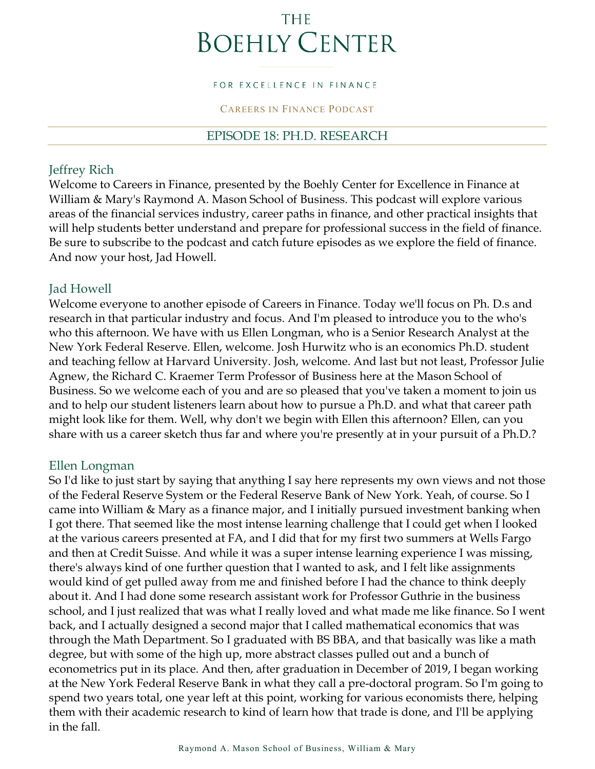# **THE BOEHLY CENTER**

#### FOR EXCELLENCE IN FINANCE

#### CAREERS IN FINANCE PODCAST

#### EPISODE 18: PH.D. RESEARCH

#### Jeffrey Rich

Welcome to Careers in Finance, presented by the Boehly Center for Excellence in Finance at William & Mary's Raymond A. Mason School of Business. This podcast will explore various areas of the financial services industry, career paths in finance, and other practical insights that will help students better understand and prepare for professional success in the field of finance. Be sure to subscribe to the podcast and catch future episodes as we explore the field of finance. And now your host, Jad Howell.

#### Jad Howell

Welcome everyone to another episode of Careers in Finance. Today we'll focus on Ph. D.s and research in that particular industry and focus. And I'm pleased to introduce you to the who's who this afternoon. We have with us Ellen Longman, who is a Senior Research Analyst at the New York Federal Reserve. Ellen, welcome. Josh Hurwitz who is an economics Ph.D. student and teaching fellow at Harvard University. Josh, welcome. And last but not least, Professor Julie Agnew, the Richard C. Kraemer Term Professor of Business here at the Mason School of Business. So we welcome each of you and are so pleased that you've taken a moment to join us and to help our student listeners learn about how to pursue a Ph.D. and what that career path might look like for them. Well, why don't we begin with Ellen this afternoon? Ellen, can you share with us a career sketch thus far and where you're presently at in your pursuit of a Ph.D.?

#### Ellen Longman

So I'd like to just start by saying that anything I say here represents my own views and not those of the Federal Reserve System or the Federal Reserve Bank of New York. Yeah, of course. So I came into William & Mary as a finance major, and I initially pursued investment banking when I got there. That seemed like the most intense learning challenge that I could get when I looked at the various careers presented at FA, and I did that for my first two summers at Wells Fargo and then at Credit Suisse. And while it was a super intense learning experience I was missing, there's always kind of one further question that I wanted to ask, and I felt like assignments would kind of get pulled away from me and finished before I had the chance to think deeply about it. And I had done some research assistant work for Professor Guthrie in the business school, and I just realized that was what I really loved and what made me like finance. So I went back, and I actually designed a second major that I called mathematical economics that was through the Math Department. So I graduated with BS BBA, and that basically was like a math degree, but with some of the high up, more abstract classes pulled out and a bunch of econometrics put in its place. And then, after graduation in December of 2019, I began working at the New York Federal Reserve Bank in what they call a pre-doctoral program. So I'm going to spend two years total, one year left at this point, working for various economists there, helping them with their academic research to kind of learn how that trade is done, and I'll be applying in the fall.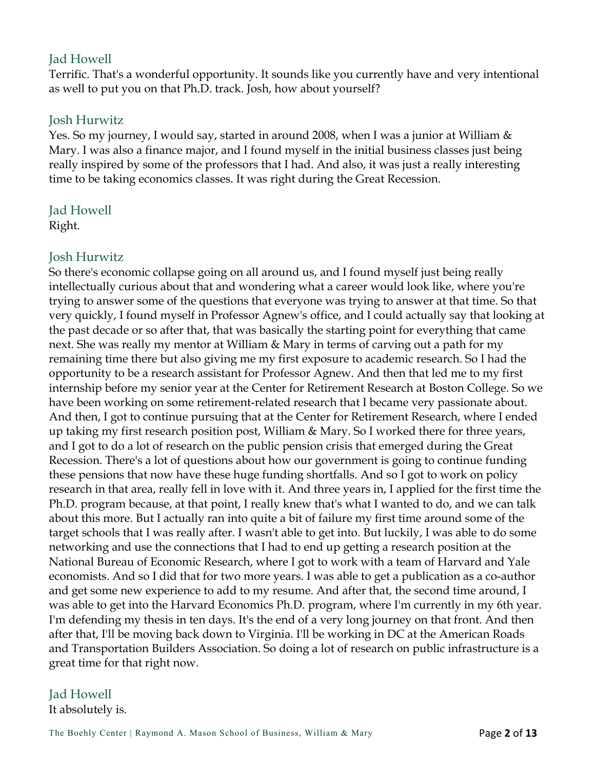## Jad Howell

Terrific. That's a wonderful opportunity. It sounds like you currently have and very intentional as well to put you on that Ph.D. track. Josh, how about yourself?

## Josh Hurwitz

Yes. So my journey, I would say, started in around 2008, when I was a junior at William & Mary. I was also a finance major, and I found myself in the initial business classes just being really inspired by some of the professors that I had. And also, it was just a really interesting time to be taking economics classes. It was right during the Great Recession.

Jad Howell Right.

#### Josh Hurwitz

So there's economic collapse going on all around us, and I found myself just being really intellectually curious about that and wondering what a career would look like, where you're trying to answer some of the questions that everyone was trying to answer at that time. So that very quickly, I found myself in Professor Agnew's office, and I could actually say that looking at the past decade or so after that, that was basically the starting point for everything that came next. She was really my mentor at William & Mary in terms of carving out a path for my remaining time there but also giving me my first exposure to academic research. So I had the opportunity to be a research assistant for Professor Agnew. And then that led me to my first internship before my senior year at the Center for Retirement Research at Boston College. So we have been working on some retirement-related research that I became very passionate about. And then, I got to continue pursuing that at the Center for Retirement Research, where I ended up taking my first research position post, William & Mary. So I worked there for three years, and I got to do a lot of research on the public pension crisis that emerged during the Great Recession. There's a lot of questions about how our government is going to continue funding these pensions that now have these huge funding shortfalls. And so I got to work on policy research in that area, really fell in love with it. And three years in, I applied for the first time the Ph.D. program because, at that point, I really knew that's what I wanted to do, and we can talk about this more. But I actually ran into quite a bit of failure my first time around some of the target schools that I was really after. I wasn't able to get into. But luckily, I was able to do some networking and use the connections that I had to end up getting a research position at the National Bureau of Economic Research, where I got to work with a team of Harvard and Yale economists. And so I did that for two more years. I was able to get a publication as a co-author and get some new experience to add to my resume. And after that, the second time around, I was able to get into the Harvard Economics Ph.D. program, where I'm currently in my 6th year. I'm defending my thesis in ten days. It's the end of a very long journey on that front. And then after that, I'll be moving back down to Virginia. I'll be working in DC at the American Roads and Transportation Builders Association. So doing a lot of research on public infrastructure is a great time for that right now.

## Jad Howell

It absolutely is.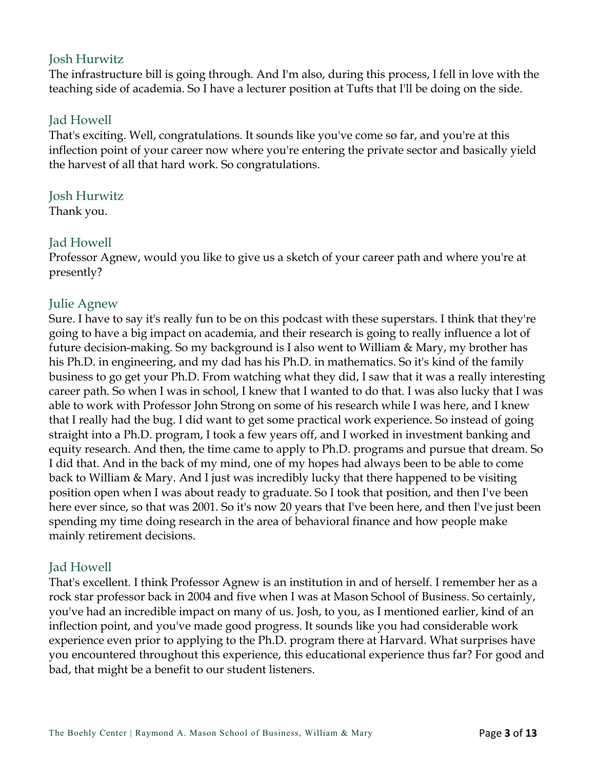## Josh Hurwitz

The infrastructure bill is going through. And I'm also, during this process, I fell in love with the teaching side of academia. So I have a lecturer position at Tufts that I'll be doing on the side.

#### Jad Howell

That's exciting. Well, congratulations. It sounds like you've come so far, and you're at this inflection point of your career now where you're entering the private sector and basically yield the harvest of all that hard work. So congratulations.

#### Josh Hurwitz

Thank you.

#### Jad Howell

Professor Agnew, would you like to give us a sketch of your career path and where you're at presently?

## Julie Agnew

Sure. I have to say it's really fun to be on this podcast with these superstars. I think that they're going to have a big impact on academia, and their research is going to really influence a lot of future decision-making. So my background is I also went to William & Mary, my brother has his Ph.D. in engineering, and my dad has his Ph.D. in mathematics. So it's kind of the family business to go get your Ph.D. From watching what they did, I saw that it was a really interesting career path. So when I was in school, I knew that I wanted to do that. I was also lucky that I was able to work with Professor John Strong on some of his research while I was here, and I knew that I really had the bug. I did want to get some practical work experience. So instead of going straight into a Ph.D. program, I took a few years off, and I worked in investment banking and equity research. And then, the time came to apply to Ph.D. programs and pursue that dream. So I did that. And in the back of my mind, one of my hopes had always been to be able to come back to William & Mary. And I just was incredibly lucky that there happened to be visiting position open when I was about ready to graduate. So I took that position, and then I've been here ever since, so that was 2001. So it's now 20 years that I've been here, and then I've just been spending my time doing research in the area of behavioral finance and how people make mainly retirement decisions.

## Jad Howell

That's excellent. I think Professor Agnew is an institution in and of herself. I remember her as a rock star professor back in 2004 and five when I was at Mason School of Business. So certainly, you've had an incredible impact on many of us. Josh, to you, as I mentioned earlier, kind of an inflection point, and you've made good progress. It sounds like you had considerable work experience even prior to applying to the Ph.D. program there at Harvard. What surprises have you encountered throughout this experience, this educational experience thus far? For good and bad, that might be a benefit to our student listeners.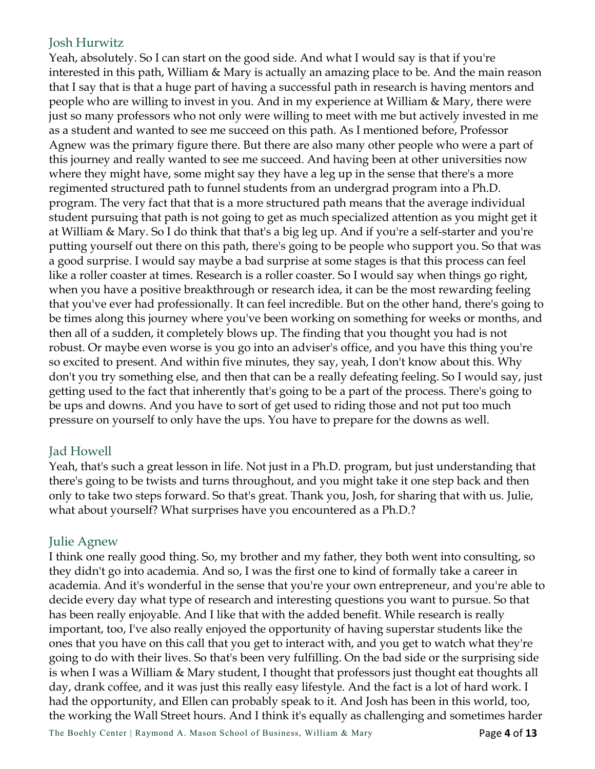## Josh Hurwitz

Yeah, absolutely. So I can start on the good side. And what I would say is that if you're interested in this path, William & Mary is actually an amazing place to be. And the main reason that I say that is that a huge part of having a successful path in research is having mentors and people who are willing to invest in you. And in my experience at William & Mary, there were just so many professors who not only were willing to meet with me but actively invested in me as a student and wanted to see me succeed on this path. As I mentioned before, Professor Agnew was the primary figure there. But there are also many other people who were a part of this journey and really wanted to see me succeed. And having been at other universities now where they might have, some might say they have a leg up in the sense that there's a more regimented structured path to funnel students from an undergrad program into a Ph.D. program. The very fact that that is a more structured path means that the average individual student pursuing that path is not going to get as much specialized attention as you might get it at William & Mary. So I do think that that's a big leg up. And if you're a self-starter and you're putting yourself out there on this path, there's going to be people who support you. So that was a good surprise. I would say maybe a bad surprise at some stages is that this process can feel like a roller coaster at times. Research is a roller coaster. So I would say when things go right, when you have a positive breakthrough or research idea, it can be the most rewarding feeling that you've ever had professionally. It can feel incredible. But on the other hand, there's going to be times along this journey where you've been working on something for weeks or months, and then all of a sudden, it completely blows up. The finding that you thought you had is not robust. Or maybe even worse is you go into an adviser's office, and you have this thing you're so excited to present. And within five minutes, they say, yeah, I don't know about this. Why don't you try something else, and then that can be a really defeating feeling. So I would say, just getting used to the fact that inherently that's going to be a part of the process. There's going to be ups and downs. And you have to sort of get used to riding those and not put too much pressure on yourself to only have the ups. You have to prepare for the downs as well.

## Jad Howell

Yeah, that's such a great lesson in life. Not just in a Ph.D. program, but just understanding that there's going to be twists and turns throughout, and you might take it one step back and then only to take two steps forward. So that's great. Thank you, Josh, for sharing that with us. Julie, what about yourself? What surprises have you encountered as a Ph.D.?

## Julie Agnew

I think one really good thing. So, my brother and my father, they both went into consulting, so they didn't go into academia. And so, I was the first one to kind of formally take a career in academia. And it's wonderful in the sense that you're your own entrepreneur, and you're able to decide every day what type of research and interesting questions you want to pursue. So that has been really enjoyable. And I like that with the added benefit. While research is really important, too, I've also really enjoyed the opportunity of having superstar students like the ones that you have on this call that you get to interact with, and you get to watch what they're going to do with their lives. So that's been very fulfilling. On the bad side or the surprising side is when I was a William & Mary student, I thought that professors just thought eat thoughts all day, drank coffee, and it was just this really easy lifestyle. And the fact is a lot of hard work. I had the opportunity, and Ellen can probably speak to it. And Josh has been in this world, too, the working the Wall Street hours. And I think it's equally as challenging and sometimes harder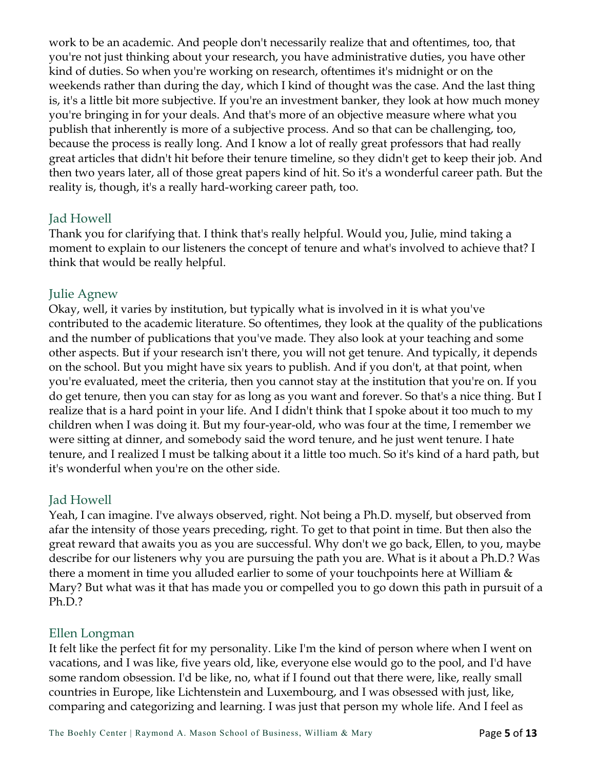work to be an academic. And people don't necessarily realize that and oftentimes, too, that you're not just thinking about your research, you have administrative duties, you have other kind of duties. So when you're working on research, oftentimes it's midnight or on the weekends rather than during the day, which I kind of thought was the case. And the last thing is, it's a little bit more subjective. If you're an investment banker, they look at how much money you're bringing in for your deals. And that's more of an objective measure where what you publish that inherently is more of a subjective process. And so that can be challenging, too, because the process is really long. And I know a lot of really great professors that had really great articles that didn't hit before their tenure timeline, so they didn't get to keep their job. And then two years later, all of those great papers kind of hit. So it's a wonderful career path. But the reality is, though, it's a really hard-working career path, too.

#### Jad Howell

Thank you for clarifying that. I think that's really helpful. Would you, Julie, mind taking a moment to explain to our listeners the concept of tenure and what's involved to achieve that? I think that would be really helpful.

#### Julie Agnew

Okay, well, it varies by institution, but typically what is involved in it is what you've contributed to the academic literature. So oftentimes, they look at the quality of the publications and the number of publications that you've made. They also look at your teaching and some other aspects. But if your research isn't there, you will not get tenure. And typically, it depends on the school. But you might have six years to publish. And if you don't, at that point, when you're evaluated, meet the criteria, then you cannot stay at the institution that you're on. If you do get tenure, then you can stay for as long as you want and forever. So that's a nice thing. But I realize that is a hard point in your life. And I didn't think that I spoke about it too much to my children when I was doing it. But my four-year-old, who was four at the time, I remember we were sitting at dinner, and somebody said the word tenure, and he just went tenure. I hate tenure, and I realized I must be talking about it a little too much. So it's kind of a hard path, but it's wonderful when you're on the other side.

## Jad Howell

Yeah, I can imagine. I've always observed, right. Not being a Ph.D. myself, but observed from afar the intensity of those years preceding, right. To get to that point in time. But then also the great reward that awaits you as you are successful. Why don't we go back, Ellen, to you, maybe describe for our listeners why you are pursuing the path you are. What is it about a Ph.D.? Was there a moment in time you alluded earlier to some of your touchpoints here at William & Mary? But what was it that has made you or compelled you to go down this path in pursuit of a Ph.D.?

#### Ellen Longman

It felt like the perfect fit for my personality. Like I'm the kind of person where when I went on vacations, and I was like, five years old, like, everyone else would go to the pool, and I'd have some random obsession. I'd be like, no, what if I found out that there were, like, really small countries in Europe, like Lichtenstein and Luxembourg, and I was obsessed with just, like, comparing and categorizing and learning. I was just that person my whole life. And I feel as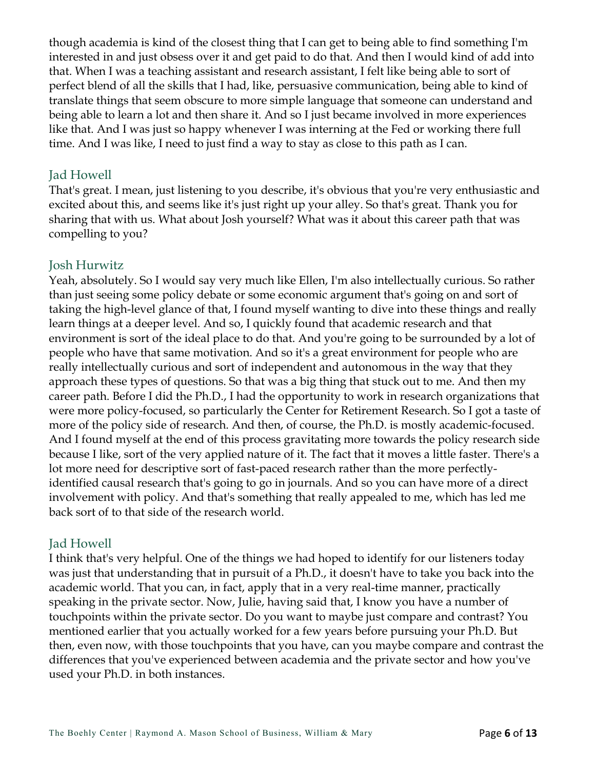though academia is kind of the closest thing that I can get to being able to find something I'm interested in and just obsess over it and get paid to do that. And then I would kind of add into that. When I was a teaching assistant and research assistant, I felt like being able to sort of perfect blend of all the skills that I had, like, persuasive communication, being able to kind of translate things that seem obscure to more simple language that someone can understand and being able to learn a lot and then share it. And so I just became involved in more experiences like that. And I was just so happy whenever I was interning at the Fed or working there full time. And I was like, I need to just find a way to stay as close to this path as I can.

## Jad Howell

That's great. I mean, just listening to you describe, it's obvious that you're very enthusiastic and excited about this, and seems like it's just right up your alley. So that's great. Thank you for sharing that with us. What about Josh yourself? What was it about this career path that was compelling to you?

#### Josh Hurwitz

Yeah, absolutely. So I would say very much like Ellen, I'm also intellectually curious. So rather than just seeing some policy debate or some economic argument that's going on and sort of taking the high-level glance of that, I found myself wanting to dive into these things and really learn things at a deeper level. And so, I quickly found that academic research and that environment is sort of the ideal place to do that. And you're going to be surrounded by a lot of people who have that same motivation. And so it's a great environment for people who are really intellectually curious and sort of independent and autonomous in the way that they approach these types of questions. So that was a big thing that stuck out to me. And then my career path. Before I did the Ph.D., I had the opportunity to work in research organizations that were more policy-focused, so particularly the Center for Retirement Research. So I got a taste of more of the policy side of research. And then, of course, the Ph.D. is mostly academic-focused. And I found myself at the end of this process gravitating more towards the policy research side because I like, sort of the very applied nature of it. The fact that it moves a little faster. There's a lot more need for descriptive sort of fast-paced research rather than the more perfectlyidentified causal research that's going to go in journals. And so you can have more of a direct involvement with policy. And that's something that really appealed to me, which has led me back sort of to that side of the research world.

## Jad Howell

I think that's very helpful. One of the things we had hoped to identify for our listeners today was just that understanding that in pursuit of a Ph.D., it doesn't have to take you back into the academic world. That you can, in fact, apply that in a very real-time manner, practically speaking in the private sector. Now, Julie, having said that, I know you have a number of touchpoints within the private sector. Do you want to maybe just compare and contrast? You mentioned earlier that you actually worked for a few years before pursuing your Ph.D. But then, even now, with those touchpoints that you have, can you maybe compare and contrast the differences that you've experienced between academia and the private sector and how you've used your Ph.D. in both instances.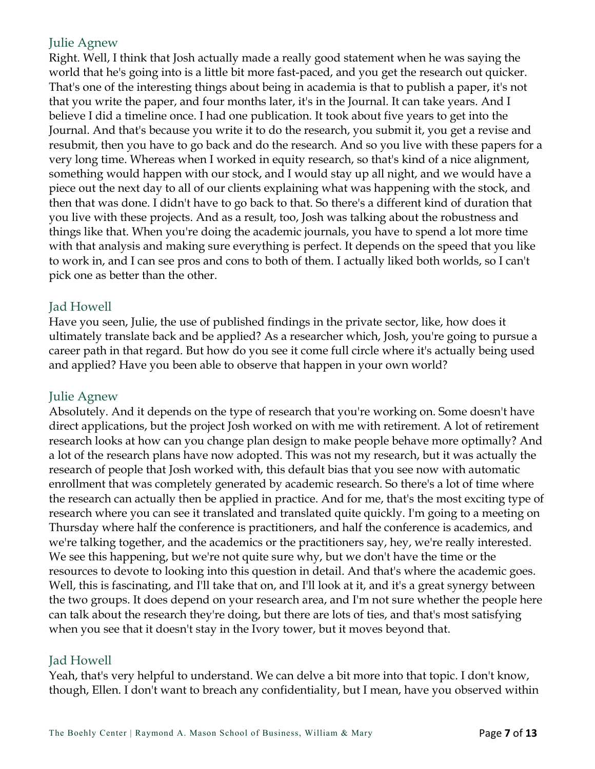#### Julie Agnew

Right. Well, I think that Josh actually made a really good statement when he was saying the world that he's going into is a little bit more fast-paced, and you get the research out quicker. That's one of the interesting things about being in academia is that to publish a paper, it's not that you write the paper, and four months later, it's in the Journal. It can take years. And I believe I did a timeline once. I had one publication. It took about five years to get into the Journal. And that's because you write it to do the research, you submit it, you get a revise and resubmit, then you have to go back and do the research. And so you live with these papers for a very long time. Whereas when I worked in equity research, so that's kind of a nice alignment, something would happen with our stock, and I would stay up all night, and we would have a piece out the next day to all of our clients explaining what was happening with the stock, and then that was done. I didn't have to go back to that. So there's a different kind of duration that you live with these projects. And as a result, too, Josh was talking about the robustness and things like that. When you're doing the academic journals, you have to spend a lot more time with that analysis and making sure everything is perfect. It depends on the speed that you like to work in, and I can see pros and cons to both of them. I actually liked both worlds, so I can't pick one as better than the other.

#### Jad Howell

Have you seen, Julie, the use of published findings in the private sector, like, how does it ultimately translate back and be applied? As a researcher which, Josh, you're going to pursue a career path in that regard. But how do you see it come full circle where it's actually being used and applied? Have you been able to observe that happen in your own world?

## Julie Agnew

Absolutely. And it depends on the type of research that you're working on. Some doesn't have direct applications, but the project Josh worked on with me with retirement. A lot of retirement research looks at how can you change plan design to make people behave more optimally? And a lot of the research plans have now adopted. This was not my research, but it was actually the research of people that Josh worked with, this default bias that you see now with automatic enrollment that was completely generated by academic research. So there's a lot of time where the research can actually then be applied in practice. And for me, that's the most exciting type of research where you can see it translated and translated quite quickly. I'm going to a meeting on Thursday where half the conference is practitioners, and half the conference is academics, and we're talking together, and the academics or the practitioners say, hey, we're really interested. We see this happening, but we're not quite sure why, but we don't have the time or the resources to devote to looking into this question in detail. And that's where the academic goes. Well, this is fascinating, and I'll take that on, and I'll look at it, and it's a great synergy between the two groups. It does depend on your research area, and I'm not sure whether the people here can talk about the research they're doing, but there are lots of ties, and that's most satisfying when you see that it doesn't stay in the Ivory tower, but it moves beyond that.

#### Jad Howell

Yeah, that's very helpful to understand. We can delve a bit more into that topic. I don't know, though, Ellen. I don't want to breach any confidentiality, but I mean, have you observed within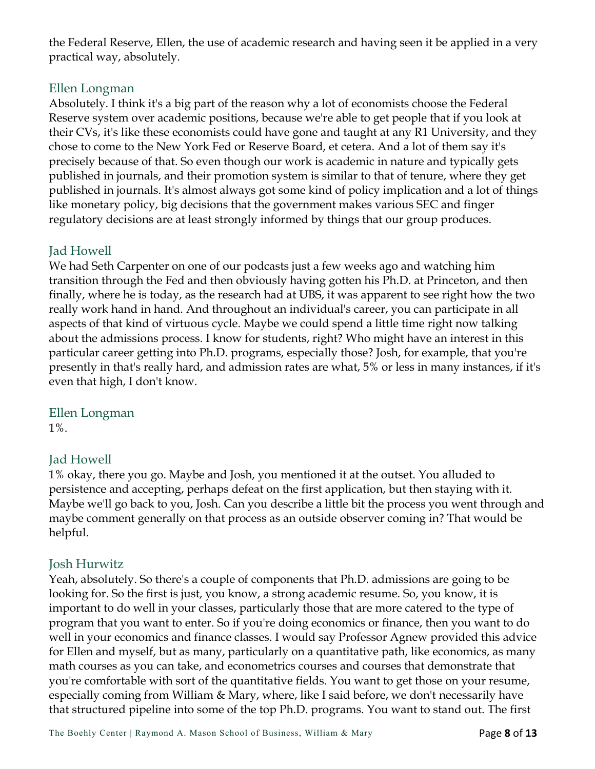the Federal Reserve, Ellen, the use of academic research and having seen it be applied in a very practical way, absolutely.

## Ellen Longman

Absolutely. I think it's a big part of the reason why a lot of economists choose the Federal Reserve system over academic positions, because we're able to get people that if you look at their CVs, it's like these economists could have gone and taught at any R1 University, and they chose to come to the New York Fed or Reserve Board, et cetera. And a lot of them say it's precisely because of that. So even though our work is academic in nature and typically gets published in journals, and their promotion system is similar to that of tenure, where they get published in journals. It's almost always got some kind of policy implication and a lot of things like monetary policy, big decisions that the government makes various SEC and finger regulatory decisions are at least strongly informed by things that our group produces.

## Jad Howell

We had Seth Carpenter on one of our podcasts just a few weeks ago and watching him transition through the Fed and then obviously having gotten his Ph.D. at Princeton, and then finally, where he is today, as the research had at UBS, it was apparent to see right how the two really work hand in hand. And throughout an individual's career, you can participate in all aspects of that kind of virtuous cycle. Maybe we could spend a little time right now talking about the admissions process. I know for students, right? Who might have an interest in this particular career getting into Ph.D. programs, especially those? Josh, for example, that you're presently in that's really hard, and admission rates are what, 5% or less in many instances, if it's even that high, I don't know.

## Ellen Longman

1%.

## Jad Howell

1% okay, there you go. Maybe and Josh, you mentioned it at the outset. You alluded to persistence and accepting, perhaps defeat on the first application, but then staying with it. Maybe we'll go back to you, Josh. Can you describe a little bit the process you went through and maybe comment generally on that process as an outside observer coming in? That would be helpful.

## Josh Hurwitz

Yeah, absolutely. So there's a couple of components that Ph.D. admissions are going to be looking for. So the first is just, you know, a strong academic resume. So, you know, it is important to do well in your classes, particularly those that are more catered to the type of program that you want to enter. So if you're doing economics or finance, then you want to do well in your economics and finance classes. I would say Professor Agnew provided this advice for Ellen and myself, but as many, particularly on a quantitative path, like economics, as many math courses as you can take, and econometrics courses and courses that demonstrate that you're comfortable with sort of the quantitative fields. You want to get those on your resume, especially coming from William & Mary, where, like I said before, we don't necessarily have that structured pipeline into some of the top Ph.D. programs. You want to stand out. The first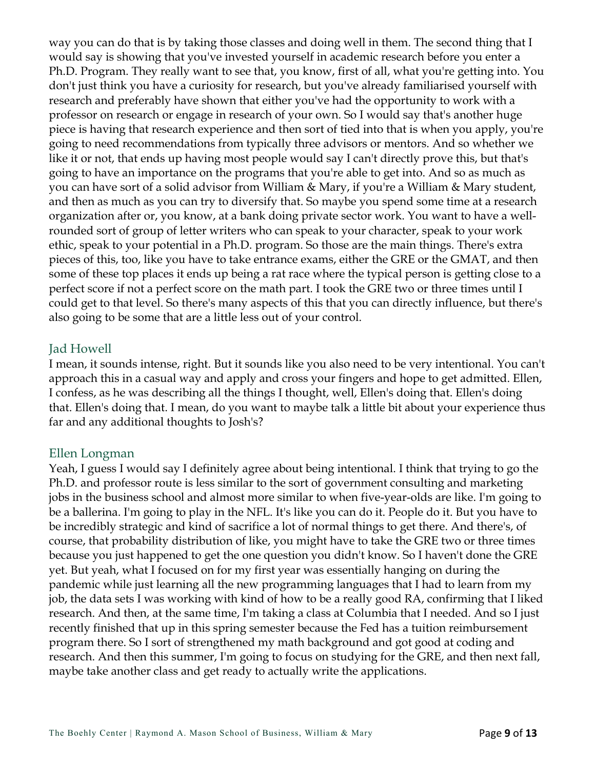way you can do that is by taking those classes and doing well in them. The second thing that I would say is showing that you've invested yourself in academic research before you enter a Ph.D. Program. They really want to see that, you know, first of all, what you're getting into. You don't just think you have a curiosity for research, but you've already familiarised yourself with research and preferably have shown that either you've had the opportunity to work with a professor on research or engage in research of your own. So I would say that's another huge piece is having that research experience and then sort of tied into that is when you apply, you're going to need recommendations from typically three advisors or mentors. And so whether we like it or not, that ends up having most people would say I can't directly prove this, but that's going to have an importance on the programs that you're able to get into. And so as much as you can have sort of a solid advisor from William & Mary, if you're a William & Mary student, and then as much as you can try to diversify that. So maybe you spend some time at a research organization after or, you know, at a bank doing private sector work. You want to have a wellrounded sort of group of letter writers who can speak to your character, speak to your work ethic, speak to your potential in a Ph.D. program. So those are the main things. There's extra pieces of this, too, like you have to take entrance exams, either the GRE or the GMAT, and then some of these top places it ends up being a rat race where the typical person is getting close to a perfect score if not a perfect score on the math part. I took the GRE two or three times until I could get to that level. So there's many aspects of this that you can directly influence, but there's also going to be some that are a little less out of your control.

#### Jad Howell

I mean, it sounds intense, right. But it sounds like you also need to be very intentional. You can't approach this in a casual way and apply and cross your fingers and hope to get admitted. Ellen, I confess, as he was describing all the things I thought, well, Ellen's doing that. Ellen's doing that. Ellen's doing that. I mean, do you want to maybe talk a little bit about your experience thus far and any additional thoughts to Josh's?

#### Ellen Longman

Yeah, I guess I would say I definitely agree about being intentional. I think that trying to go the Ph.D. and professor route is less similar to the sort of government consulting and marketing jobs in the business school and almost more similar to when five-year-olds are like. I'm going to be a ballerina. I'm going to play in the NFL. It's like you can do it. People do it. But you have to be incredibly strategic and kind of sacrifice a lot of normal things to get there. And there's, of course, that probability distribution of like, you might have to take the GRE two or three times because you just happened to get the one question you didn't know. So I haven't done the GRE yet. But yeah, what I focused on for my first year was essentially hanging on during the pandemic while just learning all the new programming languages that I had to learn from my job, the data sets I was working with kind of how to be a really good RA, confirming that I liked research. And then, at the same time, I'm taking a class at Columbia that I needed. And so I just recently finished that up in this spring semester because the Fed has a tuition reimbursement program there. So I sort of strengthened my math background and got good at coding and research. And then this summer, I'm going to focus on studying for the GRE, and then next fall, maybe take another class and get ready to actually write the applications.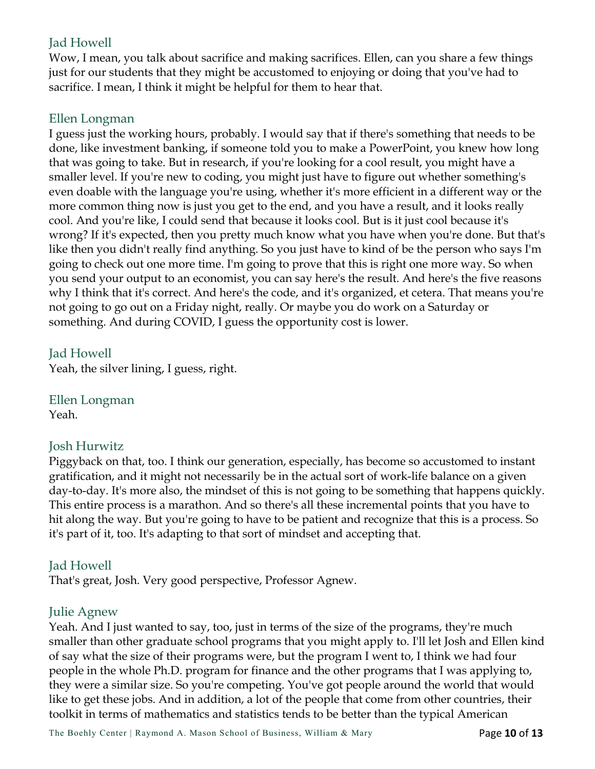## Jad Howell

Wow, I mean, you talk about sacrifice and making sacrifices. Ellen, can you share a few things just for our students that they might be accustomed to enjoying or doing that you've had to sacrifice. I mean, I think it might be helpful for them to hear that.

## Ellen Longman

I guess just the working hours, probably. I would say that if there's something that needs to be done, like investment banking, if someone told you to make a PowerPoint, you knew how long that was going to take. But in research, if you're looking for a cool result, you might have a smaller level. If you're new to coding, you might just have to figure out whether something's even doable with the language you're using, whether it's more efficient in a different way or the more common thing now is just you get to the end, and you have a result, and it looks really cool. And you're like, I could send that because it looks cool. But is it just cool because it's wrong? If it's expected, then you pretty much know what you have when you're done. But that's like then you didn't really find anything. So you just have to kind of be the person who says I'm going to check out one more time. I'm going to prove that this is right one more way. So when you send your output to an economist, you can say here's the result. And here's the five reasons why I think that it's correct. And here's the code, and it's organized, et cetera. That means you're not going to go out on a Friday night, really. Or maybe you do work on a Saturday or something. And during COVID, I guess the opportunity cost is lower.

#### Jad Howell

Yeah, the silver lining, I guess, right.

Ellen Longman Yeah.

## Josh Hurwitz

Piggyback on that, too. I think our generation, especially, has become so accustomed to instant gratification, and it might not necessarily be in the actual sort of work-life balance on a given day-to-day. It's more also, the mindset of this is not going to be something that happens quickly. This entire process is a marathon. And so there's all these incremental points that you have to hit along the way. But you're going to have to be patient and recognize that this is a process. So it's part of it, too. It's adapting to that sort of mindset and accepting that.

## Jad Howell

That's great, Josh. Very good perspective, Professor Agnew.

## Julie Agnew

Yeah. And I just wanted to say, too, just in terms of the size of the programs, they're much smaller than other graduate school programs that you might apply to. I'll let Josh and Ellen kind of say what the size of their programs were, but the program I went to, I think we had four people in the whole Ph.D. program for finance and the other programs that I was applying to, they were a similar size. So you're competing. You've got people around the world that would like to get these jobs. And in addition, a lot of the people that come from other countries, their toolkit in terms of mathematics and statistics tends to be better than the typical American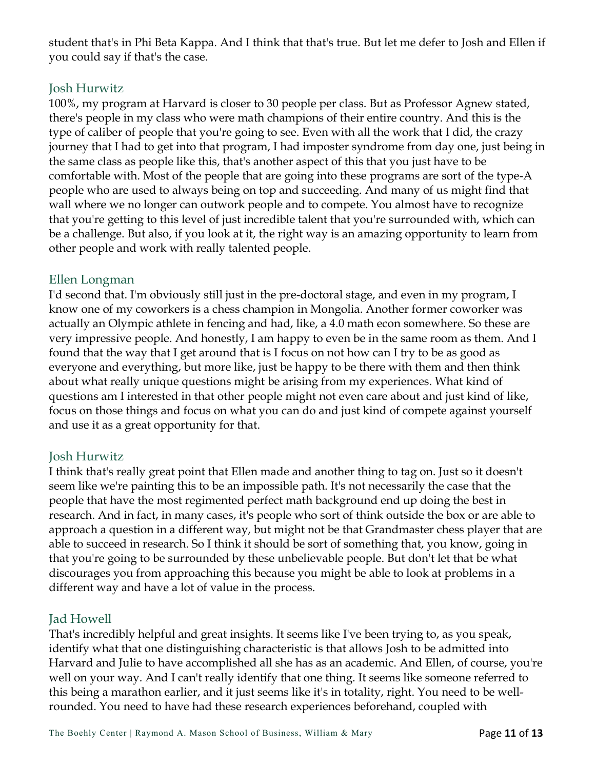student that's in Phi Beta Kappa. And I think that that's true. But let me defer to Josh and Ellen if you could say if that's the case.

#### Josh Hurwitz

100%, my program at Harvard is closer to 30 people per class. But as Professor Agnew stated, there's people in my class who were math champions of their entire country. And this is the type of caliber of people that you're going to see. Even with all the work that I did, the crazy journey that I had to get into that program, I had imposter syndrome from day one, just being in the same class as people like this, that's another aspect of this that you just have to be comfortable with. Most of the people that are going into these programs are sort of the type-A people who are used to always being on top and succeeding. And many of us might find that wall where we no longer can outwork people and to compete. You almost have to recognize that you're getting to this level of just incredible talent that you're surrounded with, which can be a challenge. But also, if you look at it, the right way is an amazing opportunity to learn from other people and work with really talented people.

## Ellen Longman

I'd second that. I'm obviously still just in the pre-doctoral stage, and even in my program, I know one of my coworkers is a chess champion in Mongolia. Another former coworker was actually an Olympic athlete in fencing and had, like, a 4.0 math econ somewhere. So these are very impressive people. And honestly, I am happy to even be in the same room as them. And I found that the way that I get around that is I focus on not how can I try to be as good as everyone and everything, but more like, just be happy to be there with them and then think about what really unique questions might be arising from my experiences. What kind of questions am I interested in that other people might not even care about and just kind of like, focus on those things and focus on what you can do and just kind of compete against yourself and use it as a great opportunity for that.

## Josh Hurwitz

I think that's really great point that Ellen made and another thing to tag on. Just so it doesn't seem like we're painting this to be an impossible path. It's not necessarily the case that the people that have the most regimented perfect math background end up doing the best in research. And in fact, in many cases, it's people who sort of think outside the box or are able to approach a question in a different way, but might not be that Grandmaster chess player that are able to succeed in research. So I think it should be sort of something that, you know, going in that you're going to be surrounded by these unbelievable people. But don't let that be what discourages you from approaching this because you might be able to look at problems in a different way and have a lot of value in the process.

#### Jad Howell

That's incredibly helpful and great insights. It seems like I've been trying to, as you speak, identify what that one distinguishing characteristic is that allows Josh to be admitted into Harvard and Julie to have accomplished all she has as an academic. And Ellen, of course, you're well on your way. And I can't really identify that one thing. It seems like someone referred to this being a marathon earlier, and it just seems like it's in totality, right. You need to be wellrounded. You need to have had these research experiences beforehand, coupled with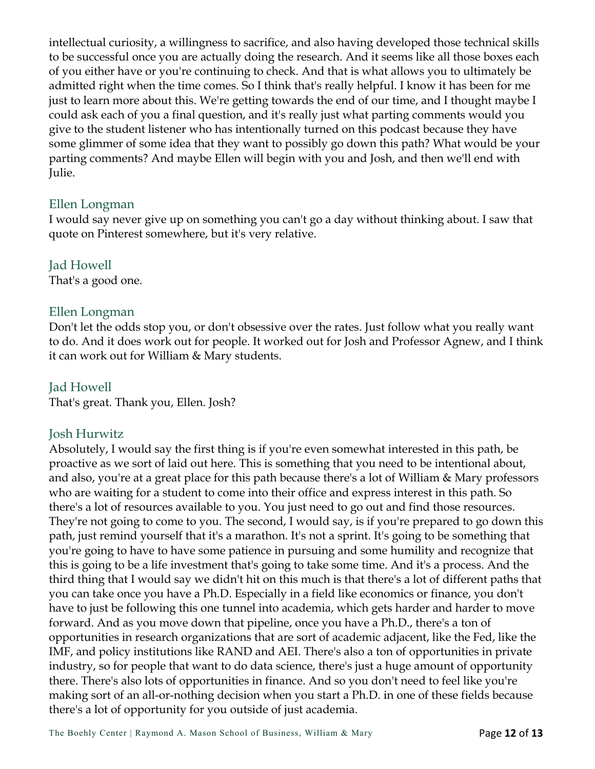intellectual curiosity, a willingness to sacrifice, and also having developed those technical skills to be successful once you are actually doing the research. And it seems like all those boxes each of you either have or you're continuing to check. And that is what allows you to ultimately be admitted right when the time comes. So I think that's really helpful. I know it has been for me just to learn more about this. We're getting towards the end of our time, and I thought maybe I could ask each of you a final question, and it's really just what parting comments would you give to the student listener who has intentionally turned on this podcast because they have some glimmer of some idea that they want to possibly go down this path? What would be your parting comments? And maybe Ellen will begin with you and Josh, and then we'll end with Julie.

#### Ellen Longman

I would say never give up on something you can't go a day without thinking about. I saw that quote on Pinterest somewhere, but it's very relative.

#### Jad Howell

That's a good one.

#### Ellen Longman

Don't let the odds stop you, or don't obsessive over the rates. Just follow what you really want to do. And it does work out for people. It worked out for Josh and Professor Agnew, and I think it can work out for William & Mary students.

#### Jad Howell

That's great. Thank you, Ellen. Josh?

#### Josh Hurwitz

Absolutely, I would say the first thing is if you're even somewhat interested in this path, be proactive as we sort of laid out here. This is something that you need to be intentional about, and also, you're at a great place for this path because there's a lot of William & Mary professors who are waiting for a student to come into their office and express interest in this path. So there's a lot of resources available to you. You just need to go out and find those resources. They're not going to come to you. The second, I would say, is if you're prepared to go down this path, just remind yourself that it's a marathon. It's not a sprint. It's going to be something that you're going to have to have some patience in pursuing and some humility and recognize that this is going to be a life investment that's going to take some time. And it's a process. And the third thing that I would say we didn't hit on this much is that there's a lot of different paths that you can take once you have a Ph.D. Especially in a field like economics or finance, you don't have to just be following this one tunnel into academia, which gets harder and harder to move forward. And as you move down that pipeline, once you have a Ph.D., there's a ton of opportunities in research organizations that are sort of academic adjacent, like the Fed, like the IMF, and policy institutions like RAND and AEI. There's also a ton of opportunities in private industry, so for people that want to do data science, there's just a huge amount of opportunity there. There's also lots of opportunities in finance. And so you don't need to feel like you're making sort of an all-or-nothing decision when you start a Ph.D. in one of these fields because there's a lot of opportunity for you outside of just academia.